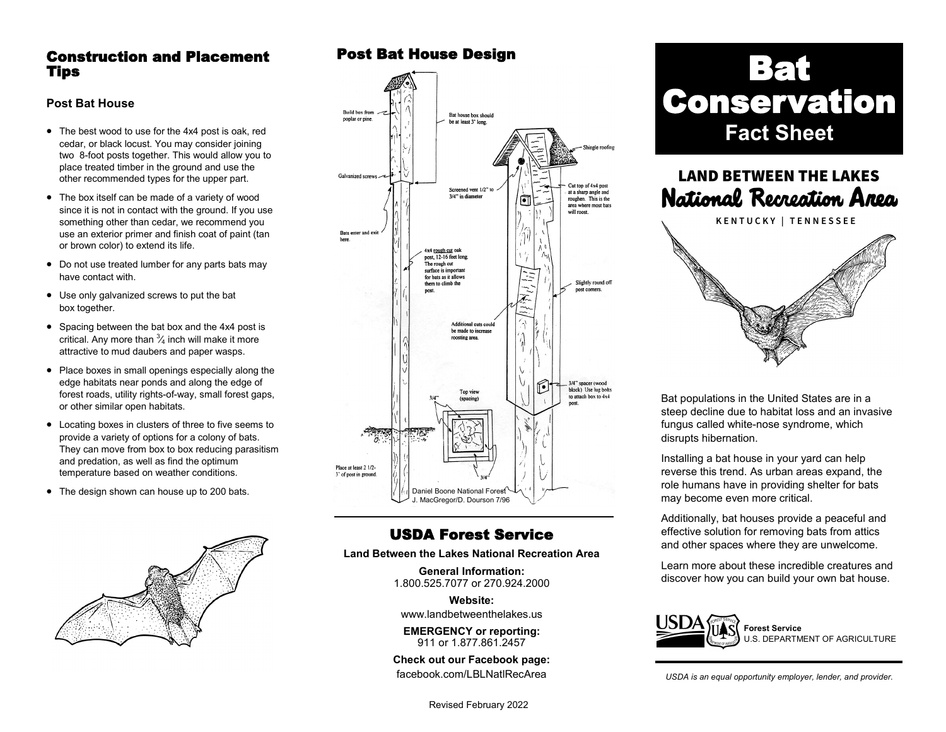### Construction and Placement Tips

#### **Post Bat House**

- The best wood to use for the 4x4 post is oak, red cedar, or black locust. You may consider joining two 8-foot posts together. This would allow you to place treated timber in the ground and use the other recommended types for the upper part.
- The box itself can be made of a variety of wood since it is not in contact with the ground. If you use something other than cedar, we recommend you use an exterior primer and finish coat of paint (tan or brown color) to extend its life.
- Do not use treated lumber for any parts bats may have contact with.
- Use only galvanized screws to put the bat box together.
- Spacing between the bat box and the 4x4 post is critical. Any more than  ${}^{3}\!\!A$  inch will make it more attractive to mud daubers and paper wasps.
- Place boxes in small openings especially along the edge habitats near ponds and along the edge of forest roads, utility rights-of-way, small forest gaps, or other similar open habitats.
- Locating boxes in clusters of three to five seems to provide a variety of options for a colony of bats. They can move from box to box reducing parasitism and predation, as well as find the optimum temperature based on weather conditions.
- The design shown can house up to 200 bats.



## Post Bat House Design



# USDA Forest Service

**Land Between the Lakes National Recreation Area**

**General Information:** 1.800.525.7077 or 270.924.2000

**Website:**

[www.landbetweenthelakes.us](http://www.landbetweenthelakes.us)

**EMERGENCY or reporting:**  911 or 1.877.861.2457

**Check out our Facebook page:** f[acebook.com/LBLNatlRecArea](http://www.facebook.com/FriendsofLandBetweenTheLakes)

Revised February 2022

# Bat **Conservation Fact Sheet**



Bat populations in the United States are in a steep decline due to habitat loss and an invasive fungus called white-nose syndrome, which disrupts hibernation.

Installing a bat house in your yard can help reverse this trend. As urban areas expand, the role humans have in providing shelter for bats may become even more critical.

Additionally, bat houses provide a peaceful and effective solution for removing bats from attics and other spaces where they are unwelcome.

Learn more about these incredible creatures and discover how you can build your own bat house.



S. DEPARTMENT OF AGRICULTURE

*USDA is an equal opportunity employer, lender, and provider.*